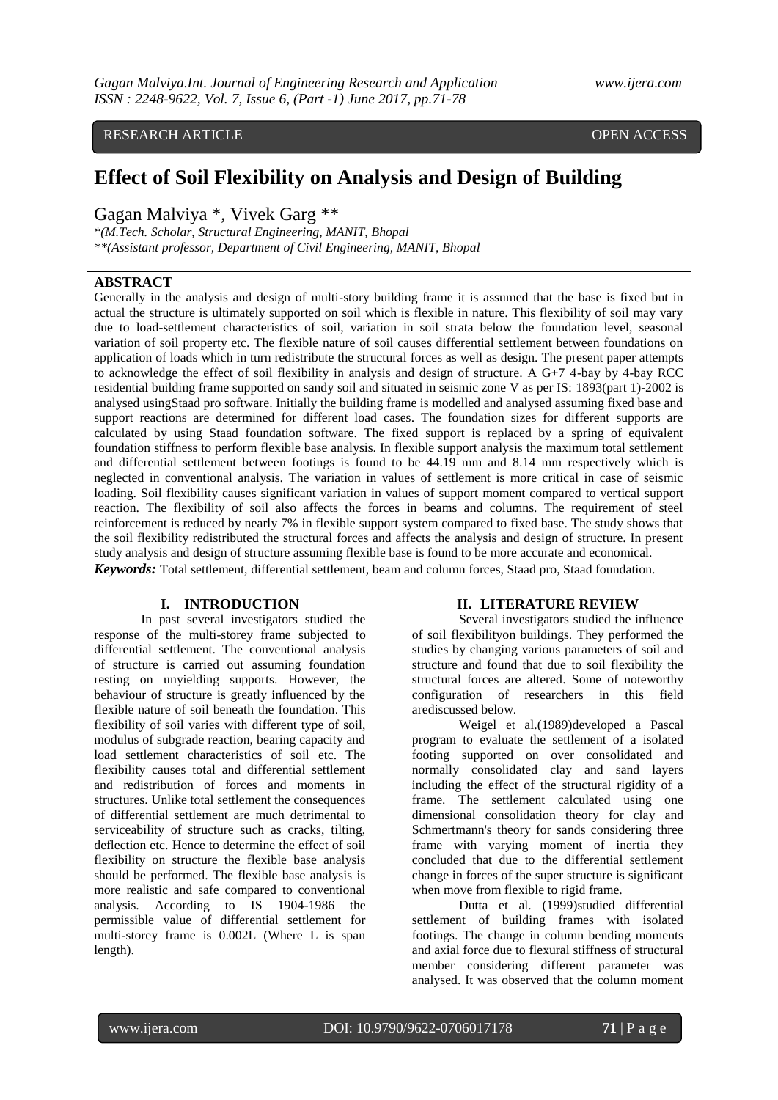RESEARCH ARTICLE **CONSERVERS** OPEN ACCESS

# **Effect of Soil Flexibility on Analysis and Design of Building**

Gagan Malviya \*, Vivek Garg \*\*

*\*(M.Tech. Scholar, Structural Engineering, MANIT, Bhopal \*\*(Assistant professor, Department of Civil Engineering, MANIT, Bhopal*

# **ABSTRACT**

Generally in the analysis and design of multi-story building frame it is assumed that the base is fixed but in actual the structure is ultimately supported on soil which is flexible in nature. This flexibility of soil may vary due to load-settlement characteristics of soil, variation in soil strata below the foundation level, seasonal variation of soil property etc. The flexible nature of soil causes differential settlement between foundations on application of loads which in turn redistribute the structural forces as well as design. The present paper attempts to acknowledge the effect of soil flexibility in analysis and design of structure. A G+7 4-bay by 4-bay RCC residential building frame supported on sandy soil and situated in seismic zone V as per IS: 1893(part 1)-2002 is analysed usingStaad pro software. Initially the building frame is modelled and analysed assuming fixed base and support reactions are determined for different load cases. The foundation sizes for different supports are calculated by using Staad foundation software. The fixed support is replaced by a spring of equivalent foundation stiffness to perform flexible base analysis. In flexible support analysis the maximum total settlement and differential settlement between footings is found to be 44.19 mm and 8.14 mm respectively which is neglected in conventional analysis. The variation in values of settlement is more critical in case of seismic loading. Soil flexibility causes significant variation in values of support moment compared to vertical support reaction. The flexibility of soil also affects the forces in beams and columns. The requirement of steel reinforcement is reduced by nearly 7% in flexible support system compared to fixed base. The study shows that the soil flexibility redistributed the structural forces and affects the analysis and design of structure. In present study analysis and design of structure assuming flexible base is found to be more accurate and economical. *Keywords:* Total settlement, differential settlement, beam and column forces, Staad pro, Staad foundation.

# **I. INTRODUCTION**

In past several investigators studied the response of the multi-storey frame subjected to differential settlement. The conventional analysis of structure is carried out assuming foundation resting on unyielding supports. However, the behaviour of structure is greatly influenced by the flexible nature of soil beneath the foundation. This flexibility of soil varies with different type of soil, modulus of subgrade reaction, bearing capacity and load settlement characteristics of soil etc. The flexibility causes total and differential settlement and redistribution of forces and moments in structures. Unlike total settlement the consequences of differential settlement are much detrimental to serviceability of structure such as cracks, tilting, deflection etc. Hence to determine the effect of soil flexibility on structure the flexible base analysis should be performed. The flexible base analysis is more realistic and safe compared to conventional analysis. According to IS 1904-1986 the permissible value of differential settlement for multi-storey frame is 0.002L (Where L is span length).

# **II. LITERATURE REVIEW**

Several investigators studied the influence of soil flexibilityon buildings. They performed the studies by changing various parameters of soil and structure and found that due to soil flexibility the structural forces are altered. Some of noteworthy configuration of researchers in this field arediscussed below.

Weigel et al.(1989)developed a Pascal program to evaluate the settlement of a isolated footing supported on over consolidated and normally consolidated clay and sand layers including the effect of the structural rigidity of a frame. The settlement calculated using one dimensional consolidation theory for clay and Schmertmann's theory for sands considering three frame with varying moment of inertia they concluded that due to the differential settlement change in forces of the super structure is significant when move from flexible to rigid frame.

Dutta et al. (1999)studied differential settlement of building frames with isolated footings. The change in column bending moments and axial force due to flexural stiffness of structural member considering different parameter was analysed. It was observed that the column moment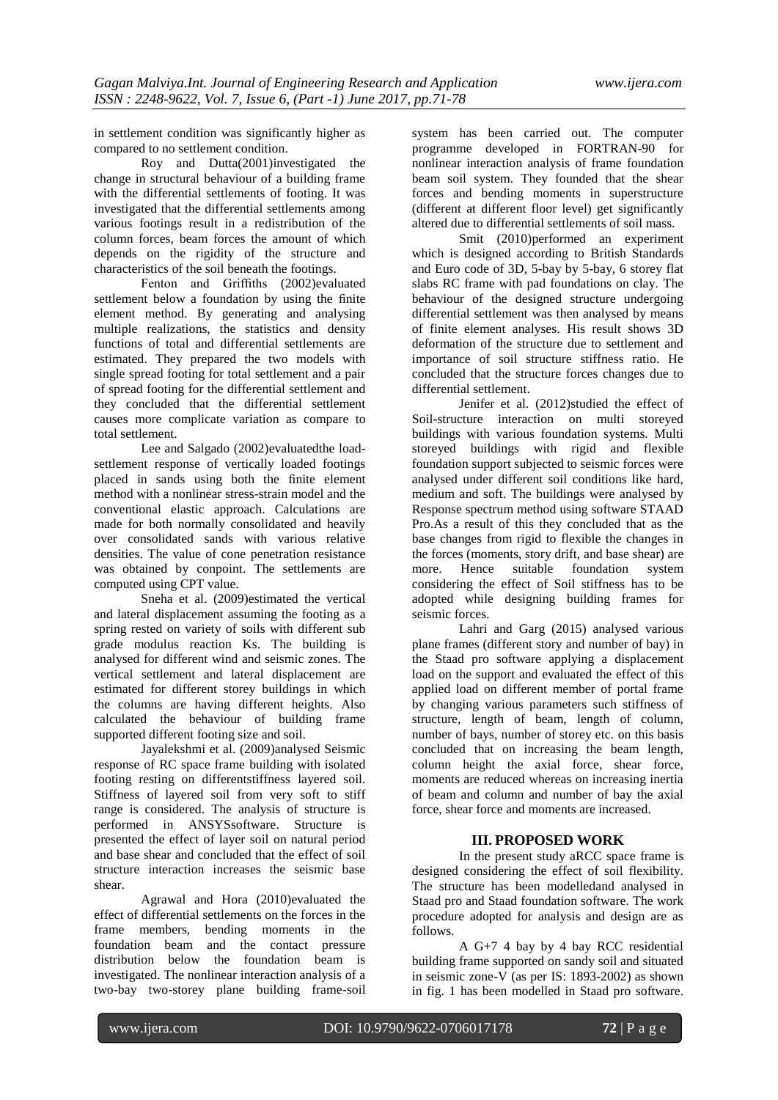in settlement condition was significantly higher as compared to no settlement condition.

Roy and Dutta(2001)investigated the change in structural behaviour of a building frame with the differential settlements of footing. It was investigated that the differential settlements among various footings result in a redistribution of the column forces, beam forces the amount of which depends on the rigidity of the structure and characteristics of the soil beneath the footings.

Fenton and Griffiths (2002)evaluated settlement below a foundation by using the finite element method. By generating and analysing multiple realizations, the statistics and density functions of total and differential settlements are estimated. They prepared the two models with single spread footing for total settlement and a pair of spread footing for the differential settlement and they concluded that the differential settlement causes more complicate variation as compare to total settlement.

Lee and Salgado (2002)evaluatedthe loadsettlement response of vertically loaded footings placed in sands using both the finite element method with a nonlinear stress-strain model and the conventional elastic approach. Calculations are made for both normally consolidated and heavily over consolidated sands with various relative densities. The value of cone penetration resistance was obtained by conpoint. The settlements are computed using CPT value.

Sneha et al. (2009)estimated the vertical and lateral displacement assuming the footing as a spring rested on variety of soils with different sub grade modulus reaction Ks. The building is analysed for different wind and seismic zones. The vertical settlement and lateral displacement are estimated for different storey buildings in which the columns are having different heights. Also calculated the behaviour of building frame supported different footing size and soil.

Jayalekshmi et al. (2009)analysed Seismic response of RC space frame building with isolated footing resting on differentstiffness layered soil. Stiffness of layered soil from very soft to stiff range is considered. The analysis of structure is performed in ANSYSsoftware. Structure is presented the effect of layer soil on natural period and base shear and concluded that the effect of soil structure interaction increases the seismic base shear.

Agrawal and Hora (2010)evaluated the effect of differential settlements on the forces in the frame members, bending moments in the foundation beam and the contact pressure distribution below the foundation beam is investigated. The nonlinear interaction analysis of a two-bay two-storey plane building frame-soil

system has been carried out. The computer programme developed in FORTRAN-90 for nonlinear interaction analysis of frame foundation beam soil system. They founded that the shear forces and bending moments in superstructure (different at different floor level) get significantly altered due to differential settlements of soil mass.

Smit (2010)performed an experiment which is designed according to British Standards and Euro code of 3D, 5-bay by 5-bay, 6 storey flat slabs RC frame with pad foundations on clay. The behaviour of the designed structure undergoing differential settlement was then analysed by means of finite element analyses. His result shows 3D deformation of the structure due to settlement and importance of soil structure stiffness ratio. He concluded that the structure forces changes due to differential settlement.

Jenifer et al. (2012)studied the effect of Soil-structure interaction on multi storeyed buildings with various foundation systems. Multi storeyed buildings with rigid and flexible foundation support subjected to seismic forces were analysed under different soil conditions like hard, medium and soft. The buildings were analysed by Response spectrum method using software STAAD Pro.As a result of this they concluded that as the base changes from rigid to flexible the changes in the forces (moments, story drift, and base shear) are more. Hence suitable foundation system considering the effect of Soil stiffness has to be adopted while designing building frames for seismic forces.

Lahri and Garg (2015) analysed various plane frames (different story and number of bay) in the Staad pro software applying a displacement load on the support and evaluated the effect of this applied load on different member of portal frame by changing various parameters such stiffness of structure, length of beam, length of column, number of bays, number of storey etc. on this basis concluded that on increasing the beam length, column height the axial force, shear force, moments are reduced whereas on increasing inertia of beam and column and number of bay the axial force, shear force and moments are increased.

# **III. PROPOSED WORK**

In the present study aRCC space frame is designed considering the effect of soil flexibility. The structure has been modelledand analysed in Staad pro and Staad foundation software. The work procedure adopted for analysis and design are as follows.

A G+7 4 bay by 4 bay RCC residential building frame supported on sandy soil and situated in seismic zone-V (as per IS: 1893-2002) as shown in fig. 1 has been modelled in Staad pro software.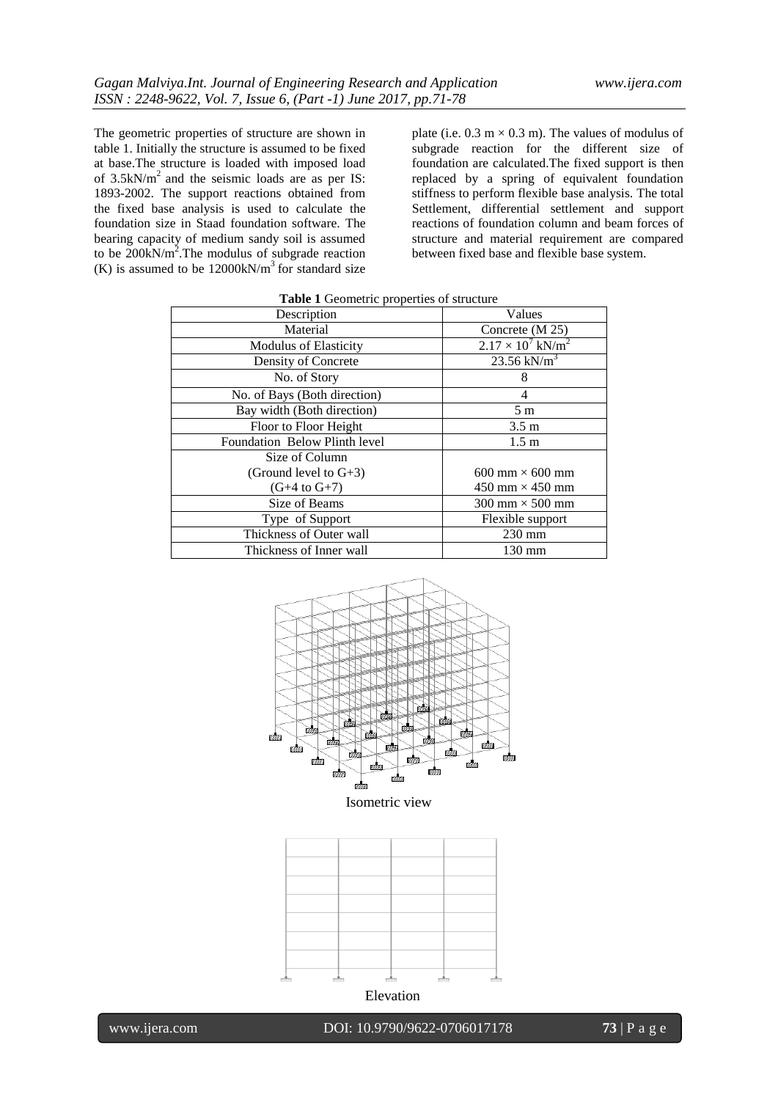The geometric properties of structure are shown in table 1. Initially the structure is assumed to be fixed at base.The structure is loaded with imposed load of  $3.5kN/m^2$  and the seismic loads are as per IS: 1893-2002. The support reactions obtained from the fixed base analysis is used to calculate the foundation size in Staad foundation software. The bearing capacity of medium sandy soil is assumed to be  $200 \text{kN/m}^2$ . The modulus of subgrade reaction (K) is assumed to be  $12000 \text{kN/m}^3$  for standard size

plate (i.e.  $0.3 \text{ m} \times 0.3 \text{ m}$ ). The values of modulus of subgrade reaction for the different size of foundation are calculated.The fixed support is then replaced by a spring of equivalent foundation stiffness to perform flexible base analysis. The total Settlement, differential settlement and support reactions of foundation column and beam forces of structure and material requirement are compared between fixed base and flexible base system.

| Description                          | Values                                 |  |  |  |
|--------------------------------------|----------------------------------------|--|--|--|
| Material                             | Concrete (M 25)                        |  |  |  |
| <b>Modulus of Elasticity</b>         | $2.17 \times 10^7$ kN/m <sup>2</sup>   |  |  |  |
| Density of Concrete                  | $23.56 \text{ kN/m}^3$                 |  |  |  |
| No. of Story                         | 8                                      |  |  |  |
| No. of Bays (Both direction)         | 4                                      |  |  |  |
| Bay width (Both direction)           | 5 <sub>m</sub>                         |  |  |  |
| Floor to Floor Height                | 3.5 <sub>m</sub>                       |  |  |  |
| <b>Foundation Below Plinth level</b> | 1.5 <sub>m</sub>                       |  |  |  |
| Size of Column                       |                                        |  |  |  |
| (Ground level to $G+3$ )             | $600 \text{ mm} \times 600 \text{ mm}$ |  |  |  |
| $(G+4 \text{ to } G+7)$              | 450 mm $\times$ 450 mm                 |  |  |  |
| Size of Beams                        | $300 \text{ mm} \times 500 \text{ mm}$ |  |  |  |
| Type of Support                      | Flexible support                       |  |  |  |
| Thickness of Outer wall              | $230$ mm                               |  |  |  |
| Thickness of Inner wall              | 130 mm                                 |  |  |  |

| Table 1 Geometric properties of structure |  |
|-------------------------------------------|--|
|-------------------------------------------|--|







www.ijera.com DOI: 10.9790/9622-0706017178 **73** | P a g e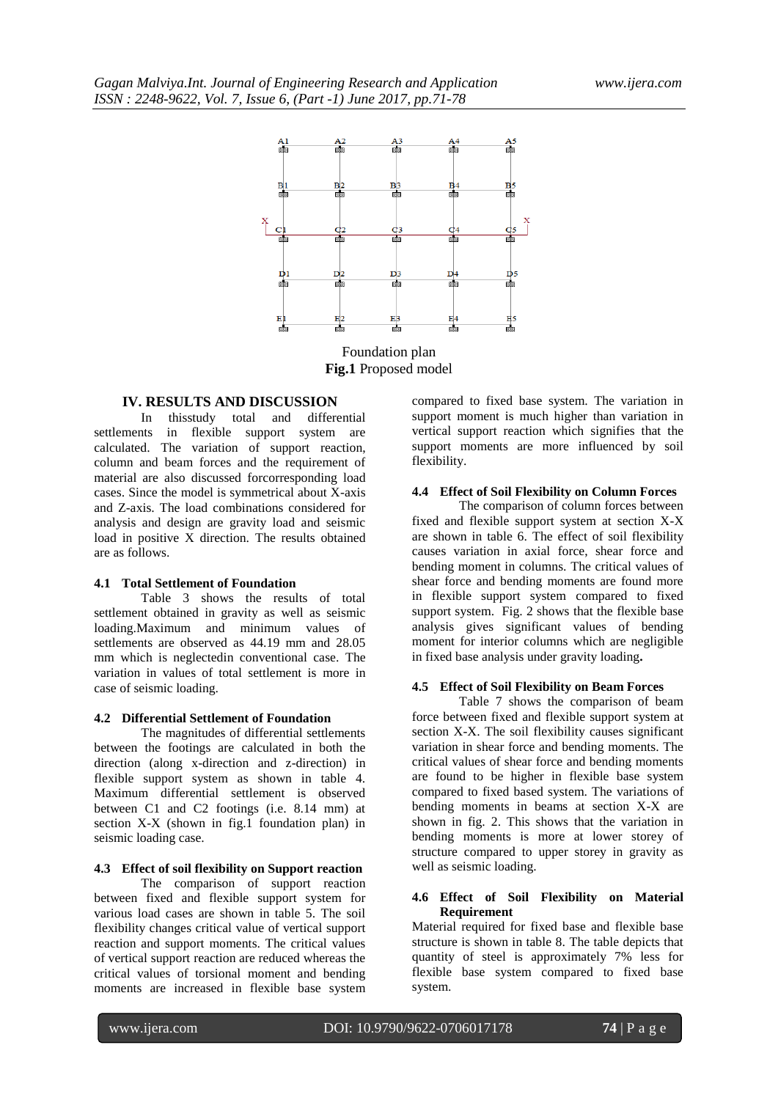

Foundation plan **Fig.1** Proposed model

# **IV. RESULTS AND DISCUSSION**

In thisstudy total and differential settlements in flexible support system are calculated. The variation of support reaction, column and beam forces and the requirement of material are also discussed forcorresponding load cases. Since the model is symmetrical about X-axis and Z-axis. The load combinations considered for analysis and design are gravity load and seismic load in positive  $\overline{X}$  direction. The results obtained are as follows.

#### **4.1 Total Settlement of Foundation**

Table 3 shows the results of total settlement obtained in gravity as well as seismic loading.Maximum and minimum values of settlements are observed as 44.19 mm and 28.05 mm which is neglectedin conventional case. The variation in values of total settlement is more in case of seismic loading.

#### **4.2 Differential Settlement of Foundation**

The magnitudes of differential settlements between the footings are calculated in both the direction (along x-direction and z-direction) in flexible support system as shown in table 4. Maximum differential settlement is observed between C1 and C2 footings (i.e. 8.14 mm) at section X-X (shown in fig.1 foundation plan) in seismic loading case.

#### **4.3 Effect of soil flexibility on Support reaction**

The comparison of support reaction between fixed and flexible support system for various load cases are shown in table 5. The soil flexibility changes critical value of vertical support reaction and support moments. The critical values of vertical support reaction are reduced whereas the critical values of torsional moment and bending moments are increased in flexible base system

compared to fixed base system. The variation in support moment is much higher than variation in vertical support reaction which signifies that the support moments are more influenced by soil flexibility.

# **4.4 Effect of Soil Flexibility on Column Forces**

The comparison of column forces between fixed and flexible support system at section X-X are shown in table 6. The effect of soil flexibility causes variation in axial force, shear force and bending moment in columns. The critical values of shear force and bending moments are found more in flexible support system compared to fixed support system. Fig. 2 shows that the flexible base analysis gives significant values of bending moment for interior columns which are negligible in fixed base analysis under gravity loading**.**

## **4.5 Effect of Soil Flexibility on Beam Forces**

Table 7 shows the comparison of beam force between fixed and flexible support system at section X-X. The soil flexibility causes significant variation in shear force and bending moments. The critical values of shear force and bending moments are found to be higher in flexible base system compared to fixed based system. The variations of bending moments in beams at section X-X are shown in fig. 2. This shows that the variation in bending moments is more at lower storey of structure compared to upper storey in gravity as well as seismic loading.

# **4.6 Effect of Soil Flexibility on Material Requirement**

Material required for fixed base and flexible base structure is shown in table 8. The table depicts that quantity of steel is approximately 7% less for flexible base system compared to fixed base system.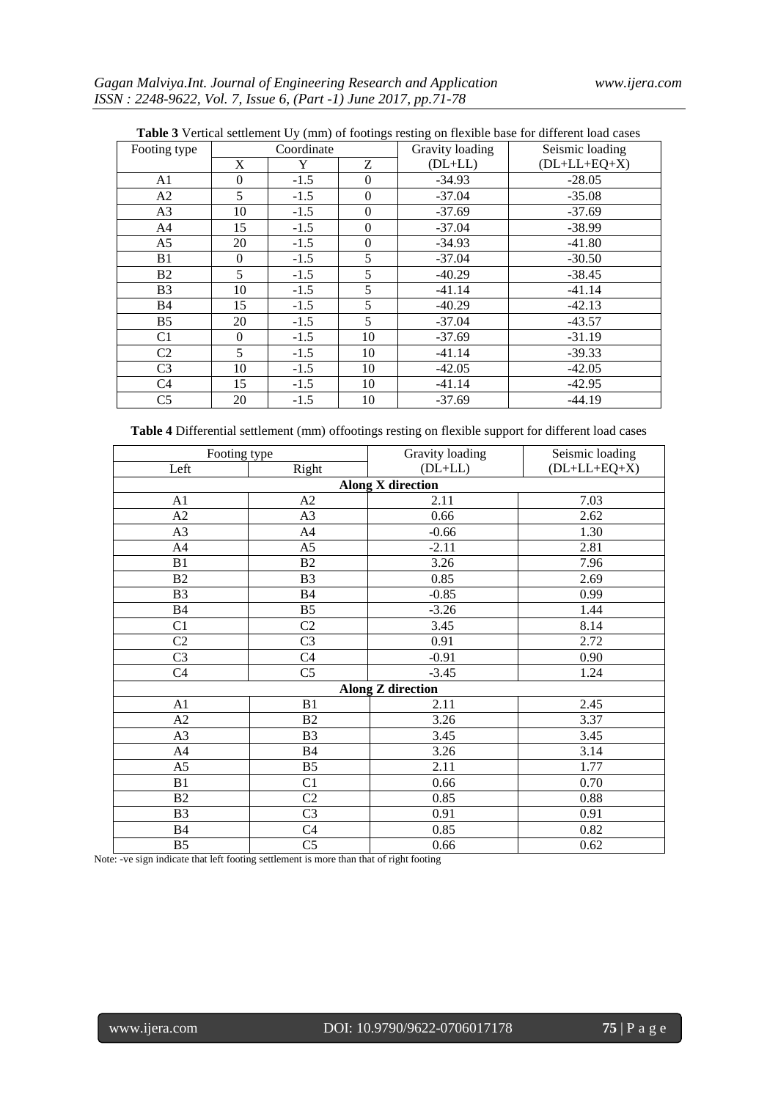| <b>Table 3</b> Vertical settlement Uy (mm) of footings resting on flexible base for different load cases |              |        |                  |                 |                 |  |  |
|----------------------------------------------------------------------------------------------------------|--------------|--------|------------------|-----------------|-----------------|--|--|
| Footing type                                                                                             | Coordinate   |        |                  | Gravity loading | Seismic loading |  |  |
|                                                                                                          | X            | Y      | Z                | $(DL+LL)$       | $(DL+LL+EQ+X)$  |  |  |
| A <sub>1</sub>                                                                                           | $\mathbf{0}$ | $-1.5$ | $\mathbf{0}$     | $-34.93$        | $-28.05$        |  |  |
| A2                                                                                                       | 5            | $-1.5$ | $\theta$         | $-37.04$        | $-35.08$        |  |  |
| A3                                                                                                       | 10           | $-1.5$ | $\boldsymbol{0}$ | $-37.69$        | $-37.69$        |  |  |
| A <sup>4</sup>                                                                                           | 15           | $-1.5$ | $\mathbf{0}$     | $-37.04$        | $-38.99$        |  |  |
| A <sub>5</sub>                                                                                           | 20           | $-1.5$ | $\boldsymbol{0}$ | $-34.93$        | $-41.80$        |  |  |
| B1                                                                                                       | $\theta$     | $-1.5$ | 5                | $-37.04$        | $-30.50$        |  |  |
| B <sub>2</sub>                                                                                           | 5            | $-1.5$ | 5                | $-40.29$        | $-38.45$        |  |  |
| B <sub>3</sub>                                                                                           | 10           | $-1.5$ | 5                | $-41.14$        | $-41.14$        |  |  |
| <b>B4</b>                                                                                                | 15           | $-1.5$ | 5                | $-40.29$        | $-42.13$        |  |  |
| B <sub>5</sub>                                                                                           | 20           | $-1.5$ | 5                | $-37.04$        | $-43.57$        |  |  |
| C <sub>1</sub>                                                                                           | $\Omega$     | $-1.5$ | 10               | $-37.69$        | $-31.19$        |  |  |
| C <sub>2</sub>                                                                                           | 5            | $-1.5$ | 10               | $-41.14$        | $-39.33$        |  |  |
| C <sub>3</sub>                                                                                           | 10           | $-1.5$ | 10               | $-42.05$        | $-42.05$        |  |  |
| C <sub>4</sub>                                                                                           | 15           | $-1.5$ | 10               | $-41.14$        | $-42.95$        |  |  |
| C <sub>5</sub>                                                                                           | 20           | $-1.5$ | 10               | $-37.69$        | $-44.19$        |  |  |

| <b>Table 3</b> Vertical settlement Uy (mm) of footings resting on flexible base for different load cases |
|----------------------------------------------------------------------------------------------------------|
|----------------------------------------------------------------------------------------------------------|

**Table 4** Differential settlement (mm) offootings resting on flexible support for different load cases

| Footing type             |                | Gravity loading          | Seismic loading |  |  |  |  |  |
|--------------------------|----------------|--------------------------|-----------------|--|--|--|--|--|
| Left                     | Right          | $(DL+LL)$                | $(DL+LL+EQ+X)$  |  |  |  |  |  |
| <b>Along X direction</b> |                |                          |                 |  |  |  |  |  |
| A <sub>1</sub>           | A <sub>2</sub> | 2.11                     | 7.03            |  |  |  |  |  |
| A2                       | A3             | 0.66                     | 2.62            |  |  |  |  |  |
| A <sub>3</sub>           | A4             | $-0.66$                  | 1.30            |  |  |  |  |  |
| A4                       | A5             | $-2.11$                  | 2.81            |  |  |  |  |  |
| B1                       | B2             | 3.26                     | 7.96            |  |  |  |  |  |
| B2                       | B <sub>3</sub> | 0.85                     | 2.69            |  |  |  |  |  |
| B <sub>3</sub>           | B4             | $-0.85$                  | 0.99            |  |  |  |  |  |
| <b>B4</b>                | B <sub>5</sub> | $-3.26$                  | 1.44            |  |  |  |  |  |
| C1                       | C2             | 3.45                     | 8.14            |  |  |  |  |  |
| C <sub>2</sub>           | C <sub>3</sub> | 0.91                     | 2.72            |  |  |  |  |  |
| C <sub>3</sub>           | C <sub>4</sub> | $-0.91$                  | 0.90            |  |  |  |  |  |
| C <sub>4</sub>           | C <sub>5</sub> | $-3.45$                  | 1.24            |  |  |  |  |  |
|                          |                | <b>Along Z direction</b> |                 |  |  |  |  |  |
| A1                       | B1             | 2.11                     | 2.45            |  |  |  |  |  |
| A2                       | B2             | 3.26                     | 3.37            |  |  |  |  |  |
| A <sub>3</sub>           | B <sub>3</sub> | 3.45                     | 3.45            |  |  |  |  |  |
| A4                       | B4             | 3.26                     | 3.14            |  |  |  |  |  |
| A <sub>5</sub>           | B <sub>5</sub> | 2.11                     | 1.77            |  |  |  |  |  |
| B1                       | C1             | 0.66                     | 0.70            |  |  |  |  |  |
| B <sub>2</sub>           | C2             | 0.85                     | 0.88            |  |  |  |  |  |
| B <sub>3</sub>           | C <sub>3</sub> | 0.91                     | 0.91            |  |  |  |  |  |
| <b>B4</b>                | C4             | 0.85                     | 0.82            |  |  |  |  |  |
| B <sub>5</sub>           | C <sub>5</sub> | 0.66                     | 0.62            |  |  |  |  |  |

Note: -ve sign indicate that left footing settlement is more than that of right footing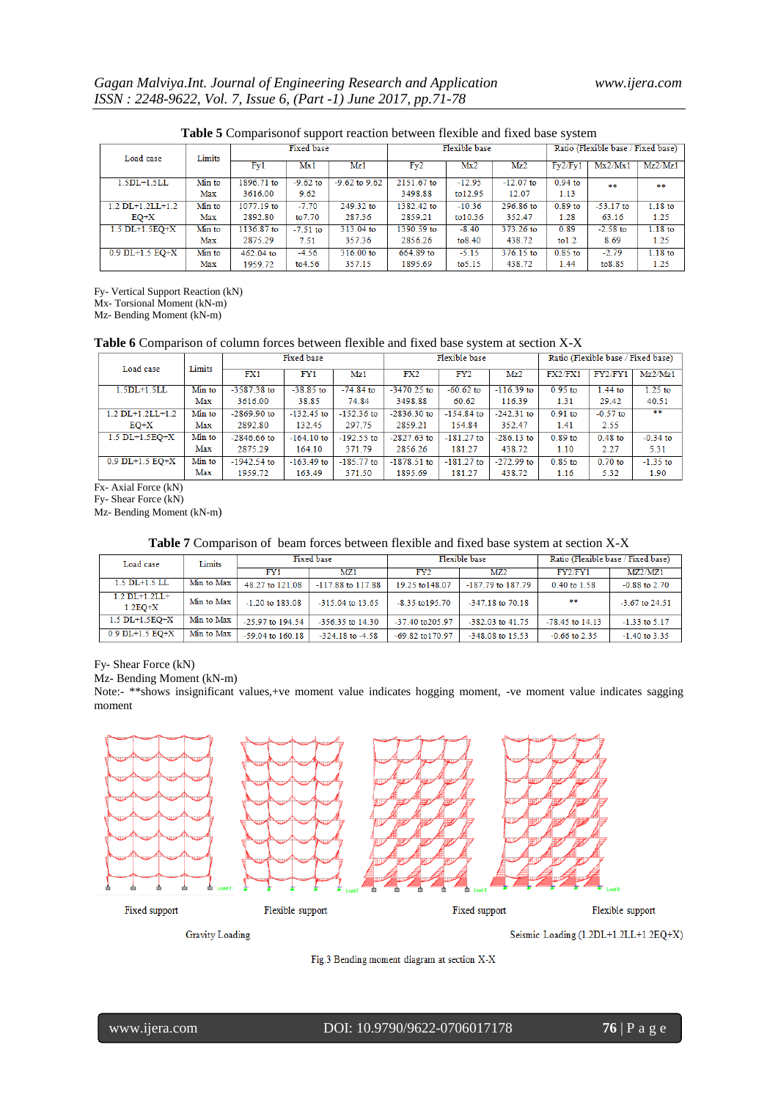| <b>Thore Comparisonor support reaction section frencie and fined suse</b> specific |        |                   |            |                   |               |          |             |                                    |             |           |
|------------------------------------------------------------------------------------|--------|-------------------|------------|-------------------|---------------|----------|-------------|------------------------------------|-------------|-----------|
| Limits<br>Load case                                                                |        | <b>Fixed base</b> |            |                   | Flexible base |          |             | Ratio (Flexible base / Fixed base) |             |           |
|                                                                                    |        | Fy1               | Mx1        | Mz1               | Fv2           | Mx2      | Mz2         | Fv2/Fv1                            | Mx2/Mx1     | Mz2/Mz1   |
| $1.5DL+1.5LL$                                                                      | Min to | 1896.71 to        | $-9.62$ to | $-9.62$ to $9.62$ | 2151.67 to    | $-12.95$ | $-12.07$ to | $0.94$ to                          | **          | **        |
|                                                                                    | Max    | 3616.00           | 9.62       |                   | 3498.88       | to12.95  | 12.07       | 1.13                               |             |           |
| $1.2$ DL+1.2LL+1.2                                                                 | Min to | 1077.19 to        | $-7.70$    | $249.32$ to       | 1382.42 to    | $-10.36$ | 296.86 to   | $0.89$ to                          | $-53.17$ to | $1.18$ to |
| $EO+X$                                                                             | Max    | 2892.80           | to 7.70    | 287.36            | 2859.21       | to 10.36 | 352.47      | 1.28                               | 63.16       | 1.25      |
| $1.5$ DL+ $1.5$ EO+X                                                               | Min to | 1136.87 to        | $-7.51$ to | 313.04 to         | 1390.59 to    | $-8.40$  | 373.26 to   | 0.89                               | $-2.58$ to  | $1.18$ to |
|                                                                                    | Max    | 2875.29           | 7.51       | 357.36            | 2856.26       | to 8.40  | 438.72      | to 1.2                             | 8.69        | 1.25      |
| $0.9$ DL+1.5 EQ+X                                                                  | Min to | 462.04 to         | $-4.56$    | 316.00 to         | 664.89 to     | $-5.15$  | 376.15 to   | $0.85$ to                          | $-2.79$     | $1.18$ to |
|                                                                                    | Max    | 1959.72           | to 4.56    | 357.15            | 1895.69       | to 5.15  | 438.72      | 1.44                               | to8.85      | 1.25      |

#### **Table 5** Comparisonof support reaction between flexible and fixed base system

Fy- Vertical Support Reaction (kN)

Mx- Torsional Moment (kN-m)

Mz- Bending Moment (kN-m)

# **Table 6** Comparison of column forces between flexible and fixed base system at section X-X

| Load case            | Limits | Fixed base    |              | Flexible base |               |                 | Ratio (Flexible base / Fixed base) |           |            |            |
|----------------------|--------|---------------|--------------|---------------|---------------|-----------------|------------------------------------|-----------|------------|------------|
|                      |        | FX1           | FY1          | Mz1           | FX2           | FY <sub>2</sub> | Mz2                                | FX2/FX1   | FY2/FY1    | Mz2/Mz1    |
| $1.5DL+1.5LL$        | Min to | $-3587.38$ to | $-38.85$ to  | $-74.84$ to   | $-3470.25$ to | $-60.62$ to     | $-116.39$ to                       | $0.95$ to | $1.44$ to  | $1.25$ to  |
|                      | Max    | 3616.00       | 38.85        | 74.84         | 3498.88       | 60.62           | 116.39                             | 1.31      | 29.42      | 40.51      |
| $1.2$ DL+1.2LL+1.2   | Min to | $-2869.90$ to | $-132.45$ to | $-152.36$ to  | $-2836.30$ to | $-154.84$ to    | $-242.31$ to                       | $0.91$ to | $-0.57$ to | **         |
| $EO+X$               | Max    | 2892.80       | 132.45       | 297.75        | 2859.21       | 154.84          | 352.47                             | 1.41      | 2.55       |            |
| $1.5$ DL+ $1.5$ EO+X | Min to | $-2846.66$ to | $-164.10$ to | $-192.55$ to  | $-2827.63$ to | $-181.27$ to    | $-286.13$ to                       | $0.89$ to | $0.48$ to  | $-0.34$ to |
|                      | Max    | 2875.29       | 164.10       | 371.79        | 2856.26       | 181.27          | 438.72                             | 1.10      | 2.27       | 5.31       |
| $0.9$ DL+1.5 EO+X    | Min to | $-1942.54$ to | $-163.49$ to | $-185.77$ to  | $-1878.51$ to | $-181.27$ to    | $-272.99$ to                       | $0.85$ to | $0.70$ to  | $-1.35$ to |
|                      | Max    | 1959.72       | 163.49       | 371.50        | 1895.69       | 181.27          | 438.72                             | 1.16      | 5.32       | 1.90       |

Fx- Axial Force (kN) Fy- Shear Force (kN)

Mz- Bending Moment (kN-m)

# **Table 7** Comparison of beam forces between flexible and fixed base system at section X-X

| Load case                        | Limits     |                      | <b>Fixed</b> base    |                      | Flexible base         | Ratio (Flexible base / Fixed base) |                   |  |
|----------------------------------|------------|----------------------|----------------------|----------------------|-----------------------|------------------------------------|-------------------|--|
|                                  |            | FY1                  | MZ1                  | FY2                  | MZ <sub>2</sub>       | FY2/FY1                            | MZ2/MZ1           |  |
| $1.5$ DL $+1.5$ LL               | Min to Max | 48.27 to 121.08      | $-117.88$ to 117.88  | 19.25 to 148.07      | $-187.79$ to $187.79$ | 0.40 to 1.58                       | $-0.88$ to $2.70$ |  |
| $1.2$ DL+ $1.2$ LL+<br>$1.2EO+X$ | Min to Max | $-1.20$ to 183.08    | $-315.04$ to 13.65   | $-8.35$ to $195.70$  | $-347.18$ to $70.18$  | 家家                                 | $-3.67$ to 24.51  |  |
| $1.5$ DL+ $1.5$ EO+X             | Min to Max | $-25.97$ to 194.54   | $-356.35$ to 14.30   | $-37.40$ to $205.97$ | $-382.03$ to $41.75$  | $-78.45$ to $14.13$                | $-1.33$ to 5.17   |  |
| $0.9$ DL+1.5 EO+X                | Min to Max | $-59.04$ to $160.18$ | $-324.18$ to $-4.58$ | $-69.82$ to 170.97   | -348.08 to 15.53      | $-0.66$ to 2.35                    | $-1.40$ to 3.35   |  |

Fy- Shear Force (kN)

Mz- Bending Moment (kN-m)

Note:- \*\*shows insignificant values,+ve moment value indicates hogging moment, -ve moment value indicates sagging moment



**Gravity Loading** 

Seismic Loading (1.2DL+1.2LL+1.2EQ+X)

Fig.3 Bending moment diagram at section X-X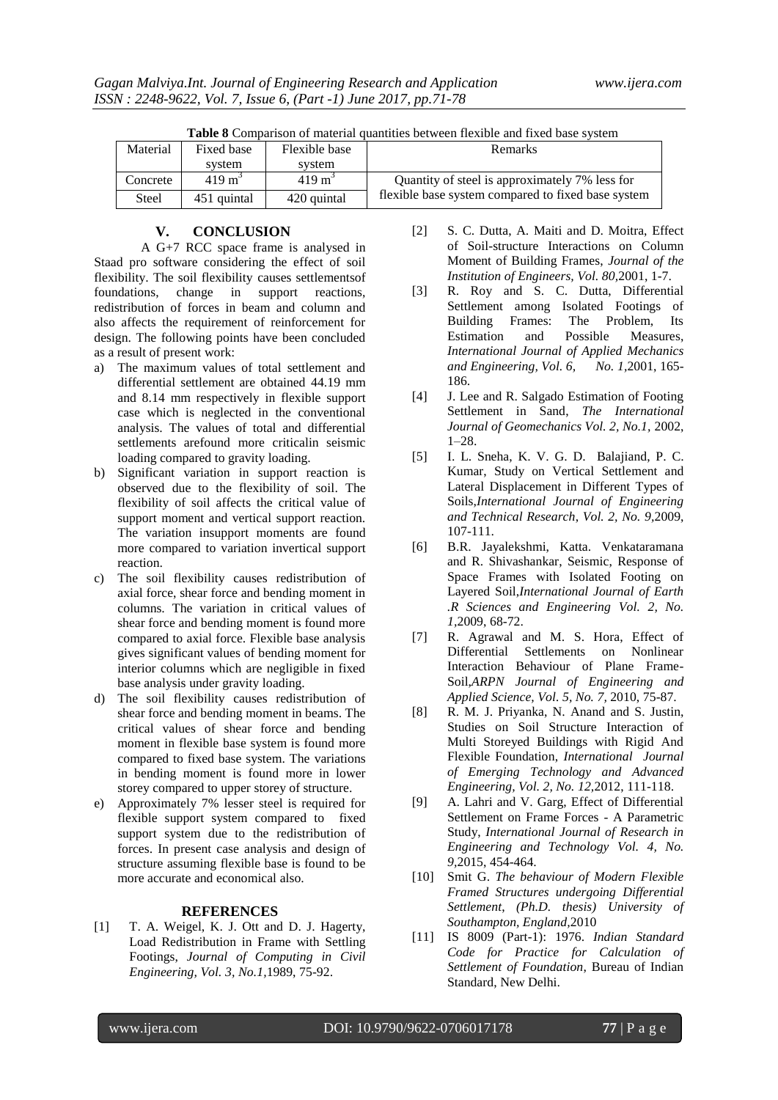| <b>Table 8</b> Comparison of material quantities between flexible and fixed base system |                   |                   |                                                    |  |  |  |
|-----------------------------------------------------------------------------------------|-------------------|-------------------|----------------------------------------------------|--|--|--|
| Material                                                                                | Fixed base        | Flexible base     | <b>Remarks</b>                                     |  |  |  |
|                                                                                         | system            | system            |                                                    |  |  |  |
| Concrete                                                                                | $419 \text{ m}^3$ | $419 \text{ m}^3$ | Quantity of steel is approximately 7% less for     |  |  |  |
| Steel                                                                                   | 451 quintal       | 420 quintal       | flexible base system compared to fixed base system |  |  |  |

**Table 8** Comparison of material quantities between flexible and fixed base system

#### **V. CONCLUSION**

A G+7 RCC space frame is analysed in Staad pro software considering the effect of soil flexibility. The soil flexibility causes settlementsof foundations, change in support reactions, redistribution of forces in beam and column and also affects the requirement of reinforcement for design. The following points have been concluded as a result of present work:

- a) The maximum values of total settlement and differential settlement are obtained 44.19 mm and 8.14 mm respectively in flexible support case which is neglected in the conventional analysis. The values of total and differential settlements arefound more criticalin seismic loading compared to gravity loading.
- b) Significant variation in support reaction is observed due to the flexibility of soil. The flexibility of soil affects the critical value of support moment and vertical support reaction. The variation insupport moments are found more compared to variation invertical support reaction.
- c) The soil flexibility causes redistribution of axial force, shear force and bending moment in columns. The variation in critical values of shear force and bending moment is found more compared to axial force. Flexible base analysis gives significant values of bending moment for interior columns which are negligible in fixed base analysis under gravity loading.
- d) The soil flexibility causes redistribution of shear force and bending moment in beams. The critical values of shear force and bending moment in flexible base system is found more compared to fixed base system. The variations in bending moment is found more in lower storey compared to upper storey of structure.
- e) Approximately 7% lesser steel is required for flexible support system compared to fixed support system due to the redistribution of forces. In present case analysis and design of structure assuming flexible base is found to be more accurate and economical also.

# **REFERENCES**

[1] T. A. Weigel, K. J. Ott and D. J. Hagerty, Load Redistribution in Frame with Settling Footings, *Journal of Computing in Civil Engineering, Vol. 3, No.1,*1989, 75-92.

- [2] S. C. Dutta, A. Maiti and D. Moitra, Effect of Soil-structure Interactions on Column Moment of Building Frames, *Journal of the Institution of Engineers, Vol. 80,*2001, 1-7.
- [3] R. Roy and S. C. Dutta, Differential Settlement among Isolated Footings of Building Frames: The Problem, Its Estimation and Possible Measures, *International Journal of Applied Mechanics and Engineering, Vol. 6, No. 1,*2001, 165- 186.
- [4] J. Lee and R. Salgado Estimation of Footing Settlement in Sand, *The International Journal of Geomechanics Vol. 2, No.1,* 2002, 1–28.
- [5] I. L. Sneha, K. V. G. D. Balajiand, P. C. Kumar, Study on Vertical Settlement and Lateral Displacement in Different Types of Soils,*International Journal of Engineering and Technical Research*, *Vol. 2, No. 9,*2009, 107-111.
- [6] B.R. Jayalekshmi, Katta. Venkataramana and R. Shivashankar, Seismic, Response of Space Frames with Isolated Footing on Layered Soil,*International Journal of Earth .R Sciences and Engineering Vol. 2, No. 1,*2009, 68-72.
- [7] R. Agrawal and M. S. Hora, Effect of Differential Settlements on Nonlinear Interaction Behaviour of Plane Frame-Soil,*ARPN Journal of Engineering and Applied Science, Vol. 5, No. 7,* 2010, 75-87.
- [8] R. M. J. Priyanka, N. Anand and S. Justin, Studies on Soil Structure Interaction of Multi Storeyed Buildings with Rigid And Flexible Foundation, *International Journal of Emerging Technology and Advanced Engineering, Vol. 2, No. 12,*2012, 111-118.
- [9] A. Lahri and V. Garg, Effect of Differential Settlement on Frame Forces - A Parametric Study, *International Journal of Research in Engineering and Technology Vol. 4, No. 9,*2015, 454-464.
- [10] Smit G. *The behaviour of Modern Flexible Framed Structures undergoing Differential Settlement*, *(Ph.D. thesis) University of Southampton, England,*2010
- [11] IS 8009 (Part-1): 1976. *Indian Standard Code for Practice for Calculation of Settlement of Foundation*, Bureau of Indian Standard, New Delhi.